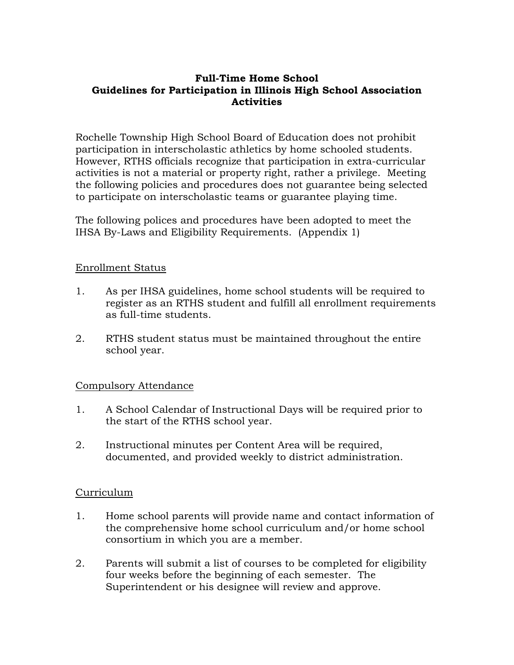#### **Full-Time Home School Guidelines for Participation in Illinois High School Association Activities**

Rochelle Township High School Board of Education does not prohibit participation in interscholastic athletics by home schooled students. However, RTHS officials recognize that participation in extra-curricular activities is not a material or property right, rather a privilege. Meeting the following policies and procedures does not guarantee being selected to participate on interscholastic teams or guarantee playing time.

The following polices and procedures have been adopted to meet the IHSA By-Laws and Eligibility Requirements. (Appendix 1)

#### Enrollment Status

- 1. As per IHSA guidelines, home school students will be required to register as an RTHS student and fulfill all enrollment requirements as full-time students.
- 2. RTHS student status must be maintained throughout the entire school year.

# Compulsory Attendance

- 1. A School Calendar of Instructional Days will be required prior to the start of the RTHS school year.
- 2. Instructional minutes per Content Area will be required, documented, and provided weekly to district administration.

#### Curriculum

- 1. Home school parents will provide name and contact information of the comprehensive home school curriculum and/or home school consortium in which you are a member.
- 2. Parents will submit a list of courses to be completed for eligibility four weeks before the beginning of each semester. The Superintendent or his designee will review and approve.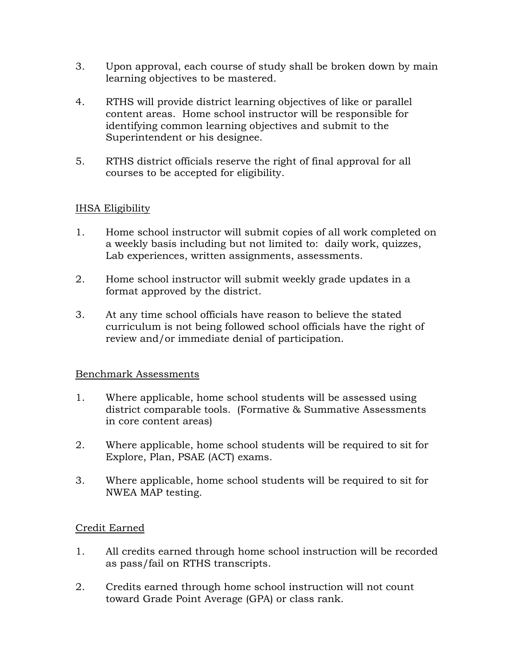- 3. Upon approval, each course of study shall be broken down by main learning objectives to be mastered.
- 4. RTHS will provide district learning objectives of like or parallel content areas. Home school instructor will be responsible for identifying common learning objectives and submit to the Superintendent or his designee.
- 5. RTHS district officials reserve the right of final approval for all courses to be accepted for eligibility.

# IHSA Eligibility

- 1. Home school instructor will submit copies of all work completed on a weekly basis including but not limited to: daily work, quizzes, Lab experiences, written assignments, assessments.
- 2. Home school instructor will submit weekly grade updates in a format approved by the district.
- 3. At any time school officials have reason to believe the stated curriculum is not being followed school officials have the right of review and/or immediate denial of participation.

# Benchmark Assessments

- 1. Where applicable, home school students will be assessed using district comparable tools. (Formative & Summative Assessments in core content areas)
- 2. Where applicable, home school students will be required to sit for Explore, Plan, PSAE (ACT) exams.
- 3. Where applicable, home school students will be required to sit for NWEA MAP testing.

# Credit Earned

- 1. All credits earned through home school instruction will be recorded as pass/fail on RTHS transcripts.
- 2. Credits earned through home school instruction will not count toward Grade Point Average (GPA) or class rank.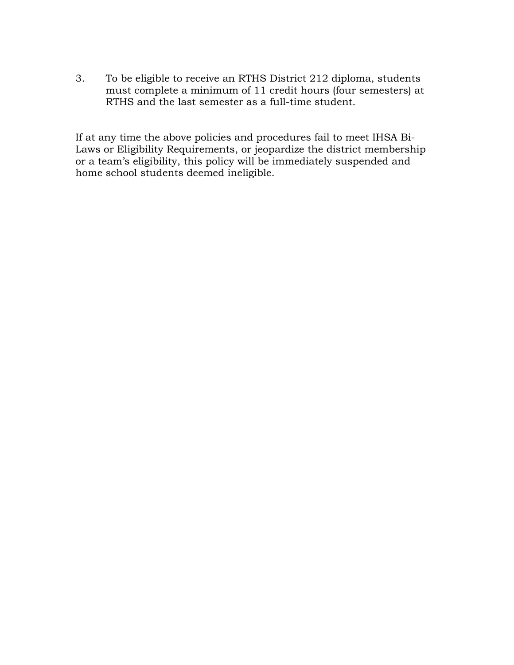3. To be eligible to receive an RTHS District 212 diploma, students must complete a minimum of 11 credit hours (four semesters) at RTHS and the last semester as a full-time student.

If at any time the above policies and procedures fail to meet IHSA Bi-Laws or Eligibility Requirements, or jeopardize the district membership or a team's eligibility, this policy will be immediately suspended and home school students deemed ineligible.